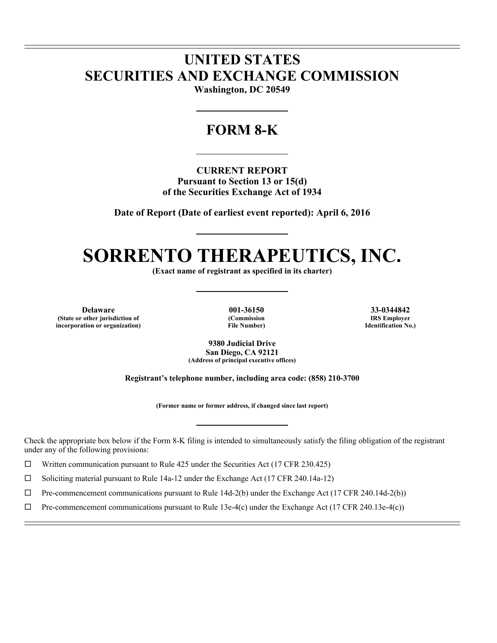## **UNITED STATES SECURITIES AND EXCHANGE COMMISSION**

**Washington, DC 20549** 

### **FORM 8-K**

**CURRENT REPORT Pursuant to Section 13 or 15(d) of the Securities Exchange Act of 1934** 

**Date of Report (Date of earliest event reported): April 6, 2016** 

# **SORRENTO THERAPEUTICS, INC.**

**(Exact name of registrant as specified in its charter)** 

**Delaware 001-36150 33-0344842 (State or other jurisdiction of incorporation or organization)**

l l

 $\overline{a}$ 

**(Commission File Number)**

**IRS Employer Identification No.)**

**9380 Judicial Drive San Diego, CA 92121 (Address of principal executive offices)** 

**Registrant's telephone number, including area code: (858) 210-3700** 

**(Former name or former address, if changed since last report)** 

Check the appropriate box below if the Form 8-K filing is intended to simultaneously satisfy the filing obligation of the registrant under any of the following provisions:

□ Written communication pursuant to Rule 425 under the Securities Act (17 CFR 230.425)

 $\Box$  Soliciting material pursuant to Rule 14a-12 under the Exchange Act (17 CFR 240.14a-12)

 $\Box$  Pre-commencement communications pursuant to Rule 14d-2(b) under the Exchange Act (17 CFR 240.14d-2(b))

 $\Box$  Pre-commencement communications pursuant to Rule 13e-4(c) under the Exchange Act (17 CFR 240.13e-4(c))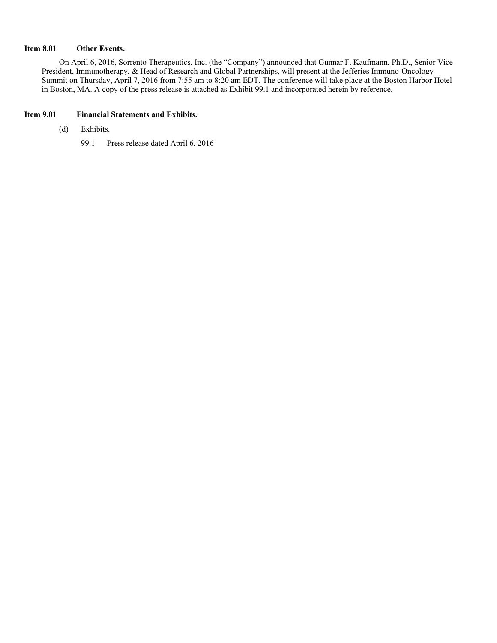#### **Item 8.01 Other Events.**

On April 6, 2016, Sorrento Therapeutics, Inc. (the "Company") announced that Gunnar F. Kaufmann, Ph.D., Senior Vice President, Immunotherapy, & Head of Research and Global Partnerships, will present at the Jefferies Immuno-Oncology Summit on Thursday, April 7, 2016 from 7:55 am to 8:20 am EDT. The conference will take place at the Boston Harbor Hotel in Boston, MA. A copy of the press release is attached as Exhibit 99.1 and incorporated herein by reference.

#### **Item 9.01 Financial Statements and Exhibits.**

- (d) Exhibits.
	- 99.1 Press release dated April 6, 2016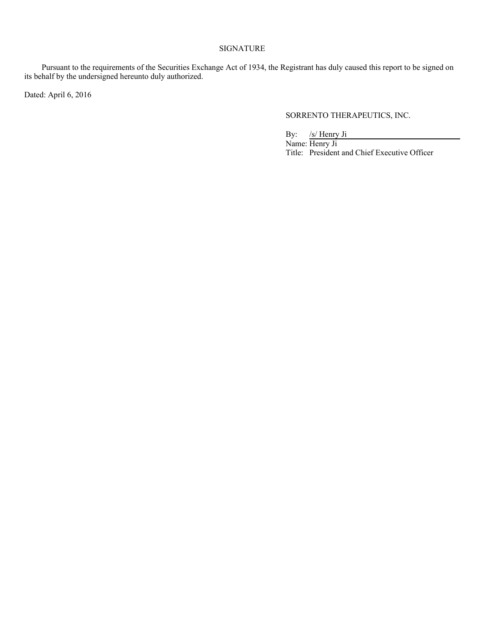#### SIGNATURE

Pursuant to the requirements of the Securities Exchange Act of 1934, the Registrant has duly caused this report to be signed on its behalf by the undersigned hereunto duly authorized.

Dated: April 6, 2016

#### SORRENTO THERAPEUTICS, INC.

By: /s/ Henry Ji

Name: Henry Ji Title: President and Chief Executive Officer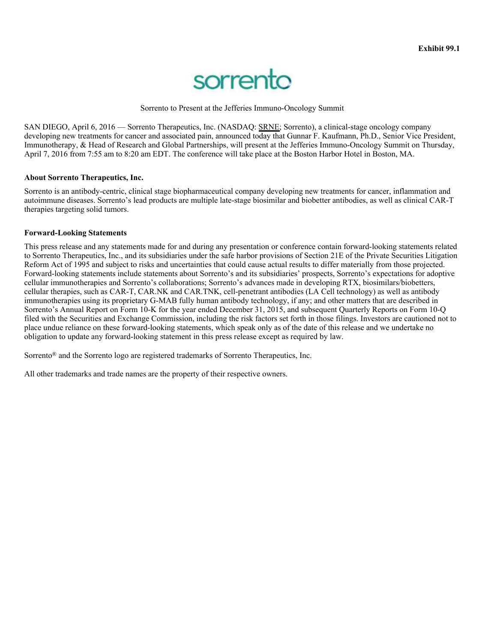

Sorrento to Present at the Jefferies Immuno-Oncology Summit

SAN DIEGO, April 6, 2016 — Sorrento Therapeutics, Inc. (NASDAQ: SRNE; Sorrento), a clinical-stage oncology company developing new treatments for cancer and associated pain, announced today that Gunnar F. Kaufmann, Ph.D., Senior Vice President, Immunotherapy, & Head of Research and Global Partnerships, will present at the Jefferies Immuno-Oncology Summit on Thursday, April 7, 2016 from 7:55 am to 8:20 am EDT. The conference will take place at the Boston Harbor Hotel in Boston, MA.

#### **About Sorrento Therapeutics, Inc.**

Sorrento is an antibody-centric, clinical stage biopharmaceutical company developing new treatments for cancer, inflammation and autoimmune diseases. Sorrento's lead products are multiple late-stage biosimilar and biobetter antibodies, as well as clinical CAR-T therapies targeting solid tumors.

#### **Forward-Looking Statements**

This press release and any statements made for and during any presentation or conference contain forward-looking statements related to Sorrento Therapeutics, Inc., and its subsidiaries under the safe harbor provisions of Section 21E of the Private Securities Litigation Reform Act of 1995 and subject to risks and uncertainties that could cause actual results to differ materially from those projected. Forward-looking statements include statements about Sorrento's and its subsidiaries' prospects, Sorrento's expectations for adoptive cellular immunotherapies and Sorrento's collaborations; Sorrento's advances made in developing RTX, biosimilars/biobetters, cellular therapies, such as CAR-T, CAR.NK and CAR.TNK, cell-penetrant antibodies (LA Cell technology) as well as antibody immunotherapies using its proprietary G-MAB fully human antibody technology, if any; and other matters that are described in Sorrento's Annual Report on Form 10-K for the year ended December 31, 2015, and subsequent Quarterly Reports on Form 10-Q filed with the Securities and Exchange Commission, including the risk factors set forth in those filings. Investors are cautioned not to place undue reliance on these forward-looking statements, which speak only as of the date of this release and we undertake no obligation to update any forward-looking statement in this press release except as required by law.

Sorrento® and the Sorrento logo are registered trademarks of Sorrento Therapeutics, Inc.

All other trademarks and trade names are the property of their respective owners.